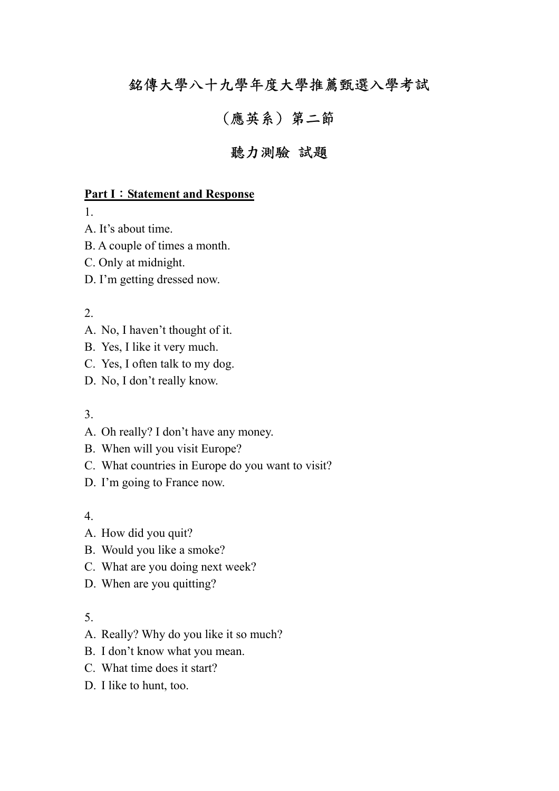# 銘傳大學八十九學年度大學推薦甄選入學考試

# (應英系) 第二節

# 聽力測驗 試題

#### **Part I**:**Statement and Response**

1.

- A. It's about time.
- B. A couple of times a month.
- C. Only at midnight.
- D. I'm getting dressed now.

#### 2.

- A. No, I haven't thought of it.
- B. Yes, I like it very much.
- C. Yes, I often talk to my dog.
- D. No, I don't really know.

## 3.

- A. Oh really? I don't have any money.
- B. When will you visit Europe?
- C. What countries in Europe do you want to visit?
- D. I'm going to France now.

#### 4.

- A. How did you quit?
- B. Would you like a smoke?
- C. What are you doing next week?
- D. When are you quitting?

- A. Really? Why do you like it so much?
- B. I don't know what you mean.
- C. What time does it start?
- D. I like to hunt, too.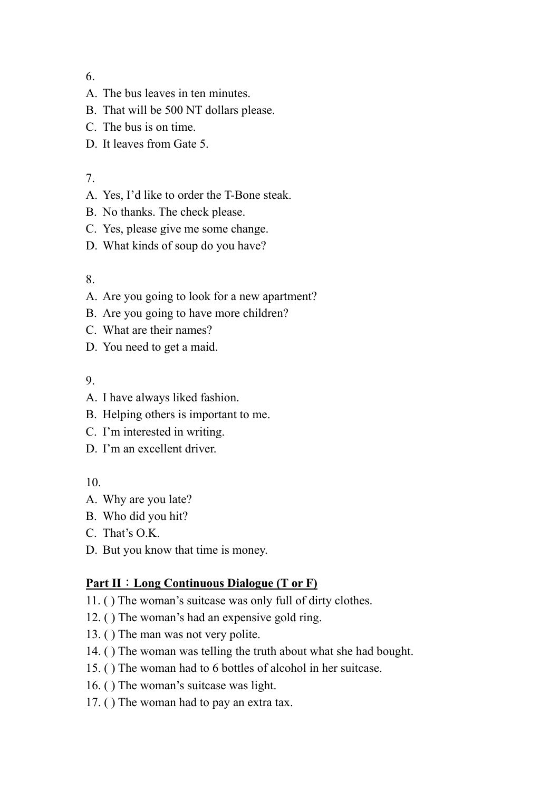- A. The bus leaves in ten minutes.
- B. That will be 500 NT dollars please.
- C. The bus is on time.
- D. It leaves from Gate 5.

# 7.

- A. Yes, I'd like to order the T-Bone steak.
- B. No thanks. The check please.
- C. Yes, please give me some change.
- D. What kinds of soup do you have?

# 8.

- A. Are you going to look for a new apartment?
- B. Are you going to have more children?
- C. What are their names?
- D. You need to get a maid.

## 9.

- A. I have always liked fashion.
- B. Helping others is important to me.
- C. I'm interested in writing.
- D. I'm an excellent driver.

## 10.

- A. Why are you late?
- B. Who did you hit?
- C. That's O.K.
- D. But you know that time is money.

# **Part II**:**Long Continuous Dialogue (T or F)**

- 11. ( ) The woman's suitcase was only full of dirty clothes.
- 12. ( ) The woman's had an expensive gold ring.
- 13. ( ) The man was not very polite.
- 14. ( ) The woman was telling the truth about what she had bought.
- 15. ( ) The woman had to 6 bottles of alcohol in her suitcase.
- 16. ( ) The woman's suitcase was light.
- 17. ( ) The woman had to pay an extra tax.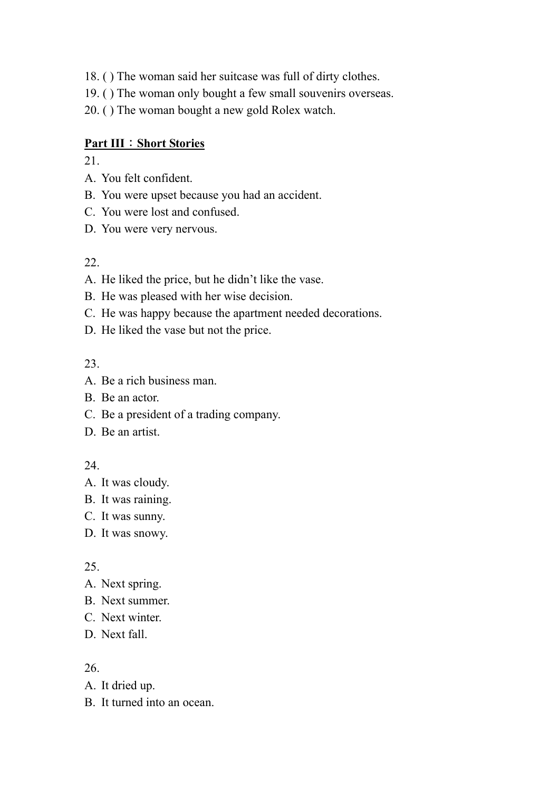- 18. ( ) The woman said her suitcase was full of dirty clothes.
- 19. ( ) The woman only bought a few small souvenirs overseas.
- 20. ( ) The woman bought a new gold Rolex watch.

#### **Part III**:**Short Stories**

21.

- A. You felt confident.
- B. You were upset because you had an accident.
- C. You were lost and confused.
- D. You were very nervous.

#### 22.

- A. He liked the price, but he didn't like the vase.
- B. He was pleased with her wise decision.
- C. He was happy because the apartment needed decorations.
- D. He liked the vase but not the price.

#### 23.

- A. Be a rich business man.
- B. Be an actor.
- C. Be a president of a trading company.
- D. Be an artist.

## 24.

- A. It was cloudy.
- B. It was raining.
- C. It was sunny.
- D. It was snowy.

#### 25.

- A. Next spring.
- B. Next summer.
- C. Next winter.
- D. Next fall.

- A. It dried up.
- B. It turned into an ocean.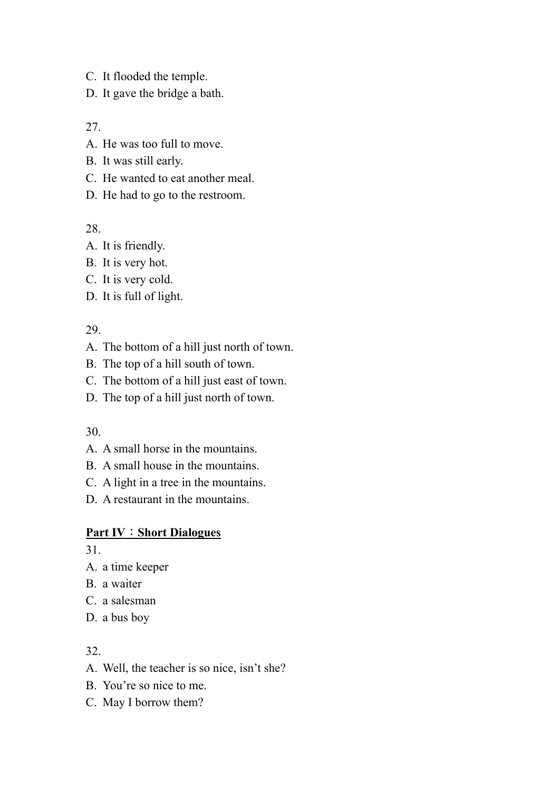- C. It flooded the temple.
- D. It gave the bridge a bath.

- A. He was too full to move.
- B. It was still early.
- C. He wanted to eat another meal.

## D. He had to go to the restroom.

## 28.

- A. It is friendly.
- B. It is very hot.
- C. It is very cold.
- D. It is full of light.

## 29.

- A. The bottom of a hill just north of town.
- B. The top of a hill south of town.
- C. The bottom of a hill just east of town.
- D. The top of a hill just north of town.

## 30.

- A. A small horse in the mountains.
- B. A small house in the mountains.
- C. A light in a tree in the mountains.
- D. A restaurant in the mountains.

## **Part IV**:**Short Dialogues**

31.

- A. a time keeper
- B. a waiter
- C. a salesman
- D. a bus boy

- A. Well, the teacher is so nice, isn't she?
- B. You're so nice to me.
- C. May I borrow them?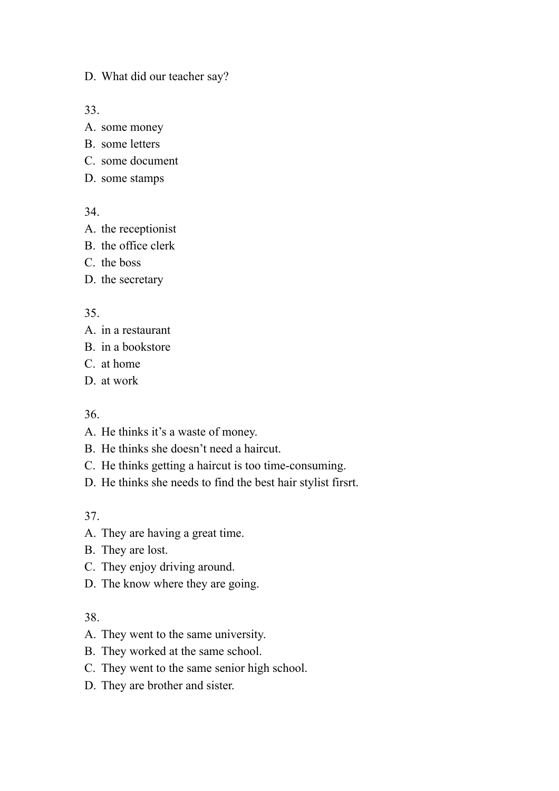D. What did our teacher say?

33.

- A. some money
- B. some letters
- C. some document
- D. some stamps

34.

- A. the receptionist
- B. the office clerk
- C. the boss
- D. the secretary

#### 35.

- A. in a restaurant
- B. in a bookstore
- C. at home
- D. at work

#### 36.

- A. He thinks it's a waste of money.
- B. He thinks she doesn't need a haircut.
- C. He thinks getting a haircut is too time-consuming.
- D. He thinks she needs to find the best hair stylist firsrt.

37.

- A. They are having a great time.
- B. They are lost.
- C. They enjoy driving around.
- D. The know where they are going.

- A. They went to the same university.
- B. They worked at the same school.
- C. They went to the same senior high school.
- D. They are brother and sister.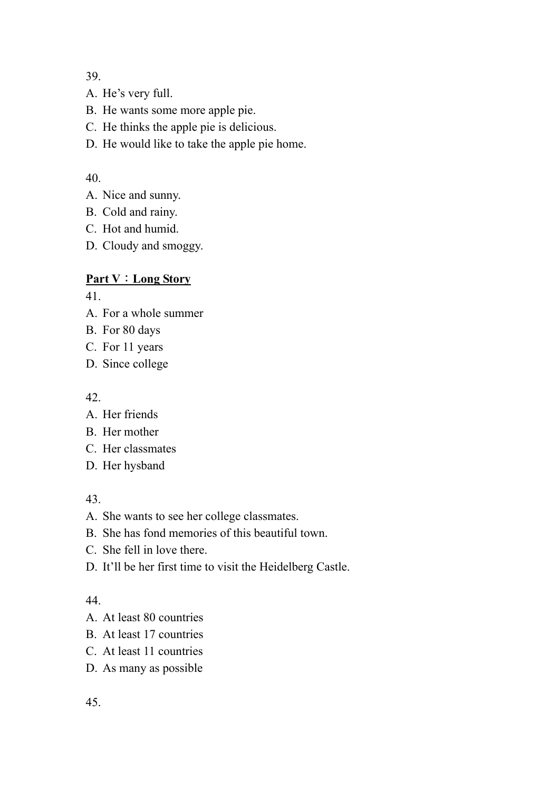- A. He's very full.
- B. He wants some more apple pie.
- C. He thinks the apple pie is delicious.

D. He would like to take the apple pie home.

# 40.

- A. Nice and sunny.
- B. Cold and rainy.
- C. Hot and humid.
- D. Cloudy and smoggy.

# **Part V**:**Long Story**

41.

- A. For a whole summer
- B. For 80 days
- C. For 11 years
- D. Since college

42.

- A. Her friends
- B. Her mother
- C. Her classmates
- D. Her hysband

43.

- A. She wants to see her college classmates.
- B. She has fond memories of this beautiful town.
- C. She fell in love there.
- D. It'll be her first time to visit the Heidelberg Castle.

- A. At least 80 countries
- B. At least 17 countries
- C. At least 11 countries
- D. As many as possible